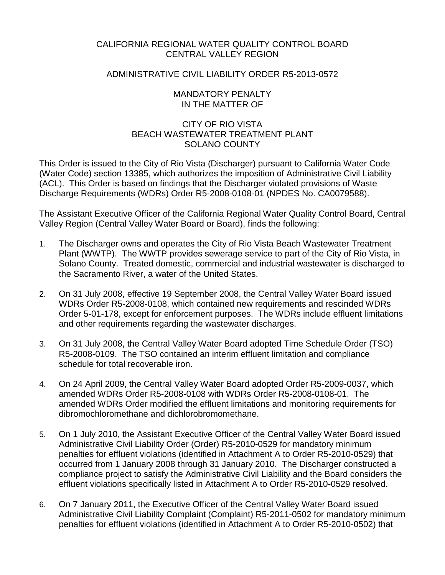# CALIFORNIA REGIONAL WATER QUALITY CONTROL BOARD CENTRAL VALLEY REGION

# ADMINISTRATIVE CIVIL LIABILITY ORDER R5-2013-0572

## MANDATORY PENALTY IN THE MATTER OF

# CITY OF RIO VISTA BEACH WASTEWATER TREATMENT PLANT SOLANO COUNTY

This Order is issued to the City of Rio Vista (Discharger) pursuant to California Water Code (Water Code) section 13385, which authorizes the imposition of Administrative Civil Liability (ACL). This Order is based on findings that the Discharger violated provisions of Waste Discharge Requirements (WDRs) Order R5-2008-0108-01 (NPDES No. CA0079588).

The Assistant Executive Officer of the California Regional Water Quality Control Board, Central Valley Region (Central Valley Water Board or Board), finds the following:

- 1. The Discharger owns and operates the City of Rio Vista Beach Wastewater Treatment Plant (WWTP). The WWTP provides sewerage service to part of the City of Rio Vista, in Solano County. Treated domestic, commercial and industrial wastewater is discharged to the Sacramento River, a water of the United States.
- 2. On 31 July 2008, effective 19 September 2008, the Central Valley Water Board issued WDRs Order R5-2008-0108, which contained new requirements and rescinded WDRs Order 5-01-178, except for enforcement purposes. The WDRs include effluent limitations and other requirements regarding the wastewater discharges.
- 3. On 31 July 2008, the Central Valley Water Board adopted Time Schedule Order (TSO) R5-2008-0109. The TSO contained an interim effluent limitation and compliance schedule for total recoverable iron.
- 4. On 24 April 2009, the Central Valley Water Board adopted Order R5-2009-0037, which amended WDRs Order R5-2008-0108 with WDRs Order R5-2008-0108-01. The amended WDRs Order modified the effluent limitations and monitoring requirements for dibromochloromethane and dichlorobromomethane.
- 5. On 1 July 2010, the Assistant Executive Officer of the Central Valley Water Board issued Administrative Civil Liability Order (Order) R5-2010-0529 for mandatory minimum penalties for effluent violations (identified in Attachment A to Order R5-2010-0529) that occurred from 1 January 2008 through 31 January 2010. The Discharger constructed a compliance project to satisfy the Administrative Civil Liability and the Board considers the effluent violations specifically listed in Attachment A to Order R5-2010-0529 resolved.
- 6. On 7 January 2011, the Executive Officer of the Central Valley Water Board issued Administrative Civil Liability Complaint (Complaint) R5-2011-0502 for mandatory minimum penalties for effluent violations (identified in Attachment A to Order R5-2010-0502) that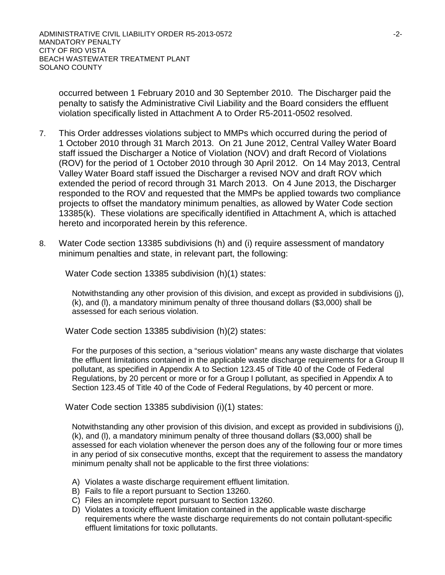occurred between 1 February 2010 and 30 September 2010. The Discharger paid the penalty to satisfy the Administrative Civil Liability and the Board considers the effluent violation specifically listed in Attachment A to Order R5-2011-0502 resolved.

- 7. This Order addresses violations subject to MMPs which occurred during the period of 1 October 2010 through 31 March 2013. On 21 June 2012, Central Valley Water Board staff issued the Discharger a Notice of Violation (NOV) and draft Record of Violations (ROV) for the period of 1 October 2010 through 30 April 2012. On 14 May 2013, Central Valley Water Board staff issued the Discharger a revised NOV and draft ROV which extended the period of record through 31 March 2013. On 4 June 2013, the Discharger responded to the ROV and requested that the MMPs be applied towards two compliance projects to offset the mandatory minimum penalties, as allowed by Water Code section 13385(k). These violations are specifically identified in Attachment A, which is attached hereto and incorporated herein by this reference.
- 8. Water Code section 13385 subdivisions (h) and (i) require assessment of mandatory minimum penalties and state, in relevant part, the following:

Water Code section 13385 subdivision (h)(1) states:

Notwithstanding any other provision of this division, and except as provided in subdivisions (j), (k), and (l), a mandatory minimum penalty of three thousand dollars (\$3,000) shall be assessed for each serious violation.

Water Code section 13385 subdivision (h)(2) states:

For the purposes of this section, a "serious violation" means any waste discharge that violates the effluent limitations contained in the applicable waste discharge requirements for a Group II pollutant, as specified in Appendix A to Section 123.45 of Title 40 of the Code of Federal Regulations, by 20 percent or more or for a Group I pollutant, as specified in Appendix A to Section 123.45 of Title 40 of the Code of Federal Regulations, by 40 percent or more.

Water Code section 13385 subdivision (i)(1) states:

Notwithstanding any other provision of this division, and except as provided in subdivisions (j), (k), and (l), a mandatory minimum penalty of three thousand dollars (\$3,000) shall be assessed for each violation whenever the person does any of the following four or more times in any period of six consecutive months, except that the requirement to assess the mandatory minimum penalty shall not be applicable to the first three violations:

- A) Violates a waste discharge requirement effluent limitation.
- B) Fails to file a report pursuant to Section 13260.
- C) Files an incomplete report pursuant to Section 13260.
- D) Violates a toxicity effluent limitation contained in the applicable waste discharge requirements where the waste discharge requirements do not contain pollutant-specific effluent limitations for toxic pollutants.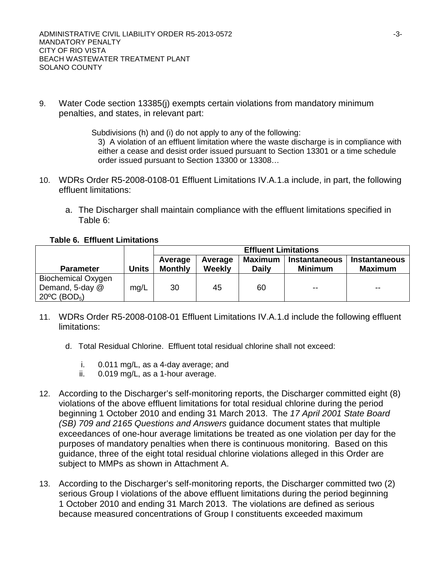9. Water Code section 13385(j) exempts certain violations from mandatory minimum penalties, and states, in relevant part:

> Subdivisions (h) and (i) do not apply to any of the following: 3) A violation of an effluent limitation where the waste discharge is in compliance with either a cease and desist order issued pursuant to Section 13301 or a time schedule order issued pursuant to Section 13300 or 13308…

- 10. WDRs Order R5-2008-0108-01 Effluent Limitations IV.A.1.a include, in part, the following effluent limitations:
	- a. The Discharger shall maintain compliance with the effluent limitations specified in Table 6:

**Table 6. Effluent Limitations**

|                                                                                    |              | <b>Effluent Limitations</b> |                   |                                |                                        |                                        |
|------------------------------------------------------------------------------------|--------------|-----------------------------|-------------------|--------------------------------|----------------------------------------|----------------------------------------|
| <b>Parameter</b>                                                                   | <b>Units</b> | Average<br><b>Monthly</b>   | Average<br>Weekly | <b>Maximum</b><br><b>Daily</b> | <b>Instantaneous</b><br><b>Minimum</b> | <b>Instantaneous</b><br><b>Maximum</b> |
| <b>Biochemical Oxygen</b><br>Demand, 5-day @<br>$20^{\circ}$ C (BOD <sub>5</sub> ) | mg/L         | 30                          | 45                | 60                             | $- -$                                  | $- -$                                  |

- 11. WDRs Order R5-2008-0108-01 Effluent Limitations IV.A.1.d include the following effluent limitations:
	- d. Total Residual Chlorine. Effluent total residual chlorine shall not exceed:
		- i. 0.011 mg/L, as a 4-day average; and
		- ii. 0.019 mg/L, as a 1-hour average.
- 12. According to the Discharger's self-monitoring reports, the Discharger committed eight (8) violations of the above effluent limitations for total residual chlorine during the period beginning 1 October 2010 and ending 31 March 2013. The *17 April 2001 State Board (SB) 709 and 2165 Questions and Answers* guidance document states that multiple exceedances of one-hour average limitations be treated as one violation per day for the purposes of mandatory penalties when there is continuous monitoring. Based on this guidance, three of the eight total residual chlorine violations alleged in this Order are subject to MMPs as shown in Attachment A.
- 13. According to the Discharger's self-monitoring reports, the Discharger committed two (2) serious Group I violations of the above effluent limitations during the period beginning 1 October 2010 and ending 31 March 2013. The violations are defined as serious because measured concentrations of Group I constituents exceeded maximum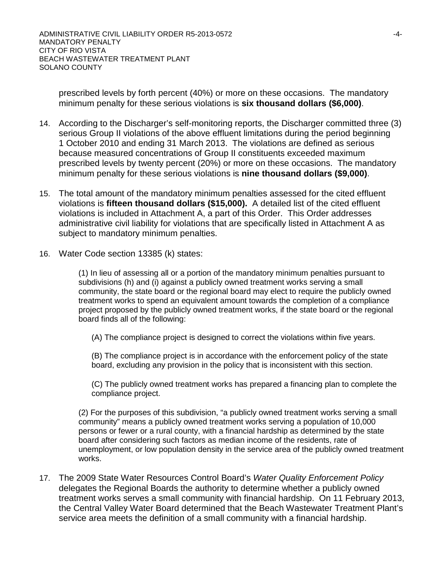prescribed levels by forth percent (40%) or more on these occasions. The mandatory minimum penalty for these serious violations is **six thousand dollars (\$6,000)**.

- 14. According to the Discharger's self-monitoring reports, the Discharger committed three (3) serious Group II violations of the above effluent limitations during the period beginning 1 October 2010 and ending 31 March 2013. The violations are defined as serious because measured concentrations of Group II constituents exceeded maximum prescribed levels by twenty percent (20%) or more on these occasions. The mandatory minimum penalty for these serious violations is **nine thousand dollars (\$9,000)**.
- 15. The total amount of the mandatory minimum penalties assessed for the cited effluent violations is **fifteen thousand dollars (\$15,000).** A detailed list of the cited effluent violations is included in Attachment A, a part of this Order. This Order addresses administrative civil liability for violations that are specifically listed in Attachment A as subject to mandatory minimum penalties.
- 16. Water Code section 13385 (k) states:

(1) In lieu of assessing all or a portion of the mandatory minimum penalties pursuant to subdivisions (h) and (i) against a publicly owned treatment works serving a small community, the state board or the regional board may elect to require the publicly owned treatment works to spend an equivalent amount towards the completion of a compliance project proposed by the publicly owned treatment works, if the state board or the regional board finds all of the following:

(A) The compliance project is designed to correct the violations within five years.

(B) The compliance project is in accordance with the enforcement policy of the state board, excluding any provision in the policy that is inconsistent with this section.

(C) The publicly owned treatment works has prepared a financing plan to complete the compliance project.

(2) For the purposes of this subdivision, "a publicly owned treatment works serving a small community" means a publicly owned treatment works serving a population of 10,000 persons or fewer or a rural county, with a financial hardship as determined by the state board after considering such factors as median income of the residents, rate of unemployment, or low population density in the service area of the publicly owned treatment works.

17. The 2009 State Water Resources Control Board's *Water Quality Enforcement Policy* delegates the Regional Boards the authority to determine whether a publicly owned treatment works serves a small community with financial hardship. On 11 February 2013, the Central Valley Water Board determined that the Beach Wastewater Treatment Plant's service area meets the definition of a small community with a financial hardship.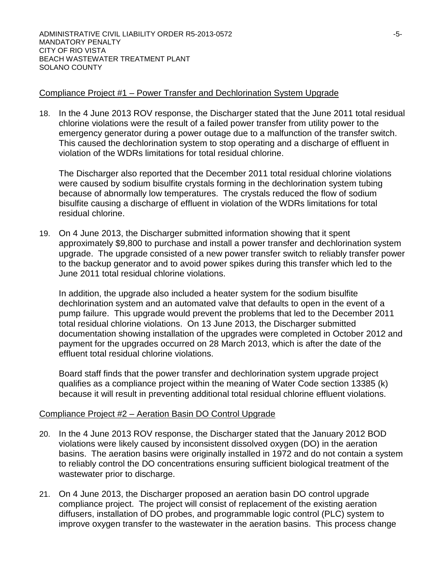## Compliance Project #1 – Power Transfer and Dechlorination System Upgrade

18. In the 4 June 2013 ROV response, the Discharger stated that the June 2011 total residual chlorine violations were the result of a failed power transfer from utility power to the emergency generator during a power outage due to a malfunction of the transfer switch. This caused the dechlorination system to stop operating and a discharge of effluent in violation of the WDRs limitations for total residual chlorine.

The Discharger also reported that the December 2011 total residual chlorine violations were caused by sodium bisulfite crystals forming in the dechlorination system tubing because of abnormally low temperatures. The crystals reduced the flow of sodium bisulfite causing a discharge of effluent in violation of the WDRs limitations for total residual chlorine.

19. On 4 June 2013, the Discharger submitted information showing that it spent approximately \$9,800 to purchase and install a power transfer and dechlorination system upgrade. The upgrade consisted of a new power transfer switch to reliably transfer power to the backup generator and to avoid power spikes during this transfer which led to the June 2011 total residual chlorine violations.

In addition, the upgrade also included a heater system for the sodium bisulfite dechlorination system and an automated valve that defaults to open in the event of a pump failure. This upgrade would prevent the problems that led to the December 2011 total residual chlorine violations. On 13 June 2013, the Discharger submitted documentation showing installation of the upgrades were completed in October 2012 and payment for the upgrades occurred on 28 March 2013, which is after the date of the effluent total residual chlorine violations.

Board staff finds that the power transfer and dechlorination system upgrade project qualifies as a compliance project within the meaning of Water Code section 13385 (k) because it will result in preventing additional total residual chlorine effluent violations.

#### Compliance Project #2 – Aeration Basin DO Control Upgrade

- 20. In the 4 June 2013 ROV response, the Discharger stated that the January 2012 BOD violations were likely caused by inconsistent dissolved oxygen (DO) in the aeration basins. The aeration basins were originally installed in 1972 and do not contain a system to reliably control the DO concentrations ensuring sufficient biological treatment of the wastewater prior to discharge.
- 21. On 4 June 2013, the Discharger proposed an aeration basin DO control upgrade compliance project. The project will consist of replacement of the existing aeration diffusers, installation of DO probes, and programmable logic control (PLC) system to improve oxygen transfer to the wastewater in the aeration basins. This process change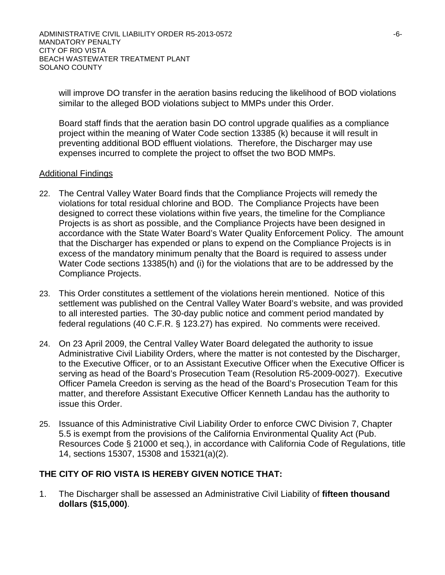ADMINISTRATIVE CIVIL LIABILITY ORDER R5-2013-0572 -6- MANDATORY PENALTY CITY OF RIO VISTA BEACH WASTEWATER TREATMENT PLANT SOLANO COUNTY

will improve DO transfer in the aeration basins reducing the likelihood of BOD violations similar to the alleged BOD violations subject to MMPs under this Order.

Board staff finds that the aeration basin DO control upgrade qualifies as a compliance project within the meaning of Water Code section 13385 (k) because it will result in preventing additional BOD effluent violations. Therefore, the Discharger may use expenses incurred to complete the project to offset the two BOD MMPs.

#### Additional Findings

- 22. The Central Valley Water Board finds that the Compliance Projects will remedy the violations for total residual chlorine and BOD. The Compliance Projects have been designed to correct these violations within five years, the timeline for the Compliance Projects is as short as possible, and the Compliance Projects have been designed in accordance with the State Water Board's Water Quality Enforcement Policy. The amount that the Discharger has expended or plans to expend on the Compliance Projects is in excess of the mandatory minimum penalty that the Board is required to assess under Water Code sections 13385(h) and (i) for the violations that are to be addressed by the Compliance Projects.
- 23. This Order constitutes a settlement of the violations herein mentioned. Notice of this settlement was published on the Central Valley Water Board's website, and was provided to all interested parties. The 30-day public notice and comment period mandated by federal regulations (40 C.F.R. § 123.27) has expired. No comments were received.
- 24. On 23 April 2009, the Central Valley Water Board delegated the authority to issue Administrative Civil Liability Orders, where the matter is not contested by the Discharger, to the Executive Officer, or to an Assistant Executive Officer when the Executive Officer is serving as head of the Board's Prosecution Team (Resolution R5-2009-0027). Executive Officer Pamela Creedon is serving as the head of the Board's Prosecution Team for this matter, and therefore Assistant Executive Officer Kenneth Landau has the authority to issue this Order.
- 25. Issuance of this Administrative Civil Liability Order to enforce CWC Division 7, Chapter 5.5 is exempt from the provisions of the California Environmental Quality Act (Pub. Resources Code § 21000 et seq.), in accordance with California Code of Regulations, title 14, sections 15307, 15308 and 15321(a)(2).

#### **THE CITY OF RIO VISTA IS HEREBY GIVEN NOTICE THAT:**

1. The Discharger shall be assessed an Administrative Civil Liability of **fifteen thousand dollars (\$15,000)**.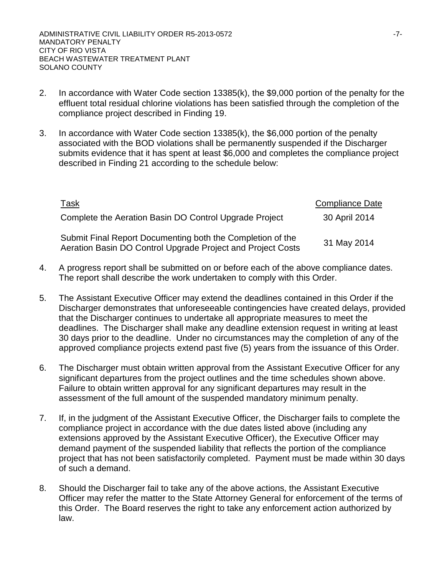- 2. In accordance with Water Code section 13385(k), the \$9,000 portion of the penalty for the effluent total residual chlorine violations has been satisfied through the completion of the compliance project described in Finding 19.
- 3. In accordance with Water Code section 13385(k), the \$6,000 portion of the penalty associated with the BOD violations shall be permanently suspended if the Discharger submits evidence that it has spent at least \$6,000 and completes the compliance project described in Finding 21 according to the schedule below:

| Task                                                                                                                      | <b>Compliance Date</b> |
|---------------------------------------------------------------------------------------------------------------------------|------------------------|
| Complete the Aeration Basin DO Control Upgrade Project                                                                    | 30 April 2014          |
| Submit Final Report Documenting both the Completion of the<br>Aeration Basin DO Control Upgrade Project and Project Costs | 31 May 2014            |

- 4. A progress report shall be submitted on or before each of the above compliance dates. The report shall describe the work undertaken to comply with this Order.
- 5. The Assistant Executive Officer may extend the deadlines contained in this Order if the Discharger demonstrates that unforeseeable contingencies have created delays, provided that the Discharger continues to undertake all appropriate measures to meet the deadlines. The Discharger shall make any deadline extension request in writing at least 30 days prior to the deadline. Under no circumstances may the completion of any of the approved compliance projects extend past five (5) years from the issuance of this Order.
- 6. The Discharger must obtain written approval from the Assistant Executive Officer for any significant departures from the project outlines and the time schedules shown above. Failure to obtain written approval for any significant departures may result in the assessment of the full amount of the suspended mandatory minimum penalty.
- 7. If, in the judgment of the Assistant Executive Officer, the Discharger fails to complete the compliance project in accordance with the due dates listed above (including any extensions approved by the Assistant Executive Officer), the Executive Officer may demand payment of the suspended liability that reflects the portion of the compliance project that has not been satisfactorily completed. Payment must be made within 30 days of such a demand.
- 8. Should the Discharger fail to take any of the above actions, the Assistant Executive Officer may refer the matter to the State Attorney General for enforcement of the terms of this Order. The Board reserves the right to take any enforcement action authorized by law.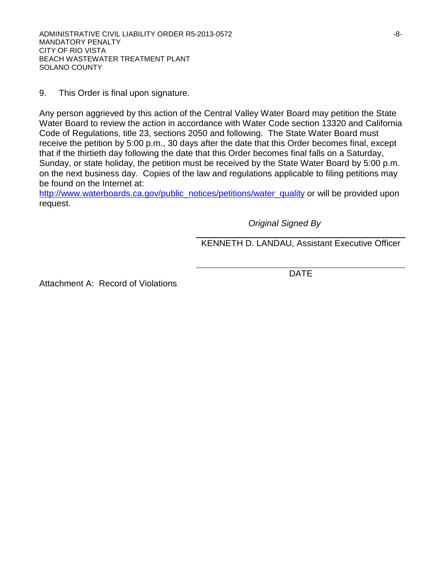9. This Order is final upon signature.

Any person aggrieved by this action of the Central Valley Water Board may petition the State Water Board to review the action in accordance with Water Code section 13320 and California Code of Regulations, title 23, sections 2050 and following. The State Water Board must receive the petition by 5:00 p.m., 30 days after the date that this Order becomes final, except that if the thirtieth day following the date that this Order becomes final falls on a Saturday, Sunday, or state holiday, the petition must be received by the State Water Board by 5:00 p.m. on the next business day. Copies of the law and regulations applicable to filing petitions may be found on the Internet at:

[http://www.waterboards.ca.gov/public\\_notices/petitions/water\\_quality](http://www.waterboards.ca.gov/public_notices/petitions/water_quality) or will be provided upon request.

*Original Signed By*

KENNETH D. LANDAU, Assistant Executive Officer

Attachment A: Record of Violations

DATE